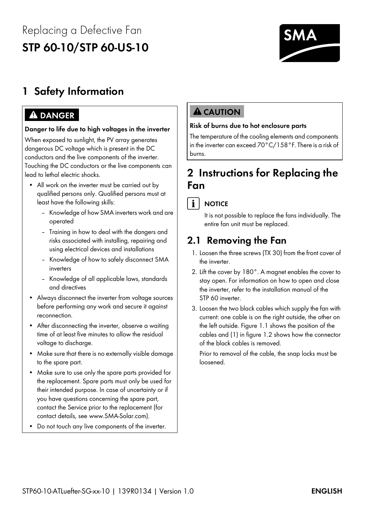# Replacing a Defective Fan **STP 60-10/STP 60-US-10**



# **1 Safety Information**

## **ADANGER**

### **Danger to life due to high voltages in the inverter**

When exposed to sunlight, the PV array generates dangerous DC voltage which is present in the DC conductors and the live components of the inverter. Touching the DC conductors or the live components can lead to lethal electric shocks.

- All work on the inverter must be carried out by qualified persons only. Qualified persons must at least have the following skills:
	- Knowledge of how SMA inverters work and are operated
	- Training in how to deal with the dangers and risks associated with installing, repairing and using electrical devices and installations
	- Knowledge of how to safely disconnect SMA inverters
	- Knowledge of all applicable laws, standards and directives
- Always disconnect the inverter from voltage sources before performing any work and secure it against reconnection.
- After disconnecting the inverter, observe a waiting time of at least five minutes to allow the residual voltage to discharge.
- Make sure that there is no externally visible damage to the spare part.
- Make sure to use only the spare parts provided for the replacement. Spare parts must only be used for their intended purpose. In case of uncertainty or if you have questions concerning the spare part, contact the Service prior to the replacement (for contact details, see www.SMA-Solar.com).
- Do not touch any live components of the inverter.

## **A** CAUTION

### **Risk of burns due to hot enclosure parts**

The temperature of the cooling elements and components in the inverter can exceed 70°C/158°F. There is a risk of burns.

## **2 Instructions for Replacing the Fan**

### $\mathbf{i}$ **NOTICE**

It is not possible to replace the fans individually. The entire fan unit must be replaced.

# **2.1 Removing the Fan**

- 1. Loosen the three screws (TX 30) from the front cover of the inverter.
- 2. Lift the cover by 180°. A magnet enables the cover to stay open. For information on how to open and close the inverter, refer to the installation manual of the STP 60 inverter.
- 3. Loosen the two black cables which supply the fan with current: one cable is on the right outside, the other on the left outside. Figure 1.1 shows the position of the cables and (1) in figure 1.2 shows how the connector of the black cables is removed.

Prior to removal of the cable, the snap locks must be loosened.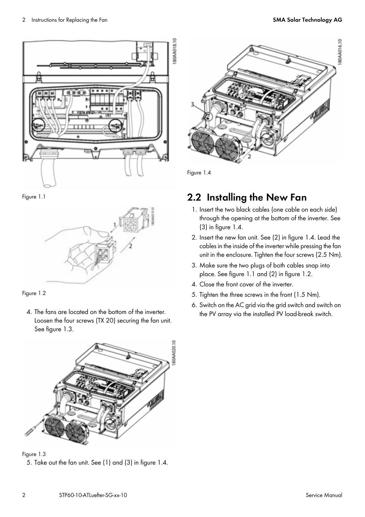

Figure 1.1





4. The fans are located on the bottom of the inverter. Loosen the four screws (TX 20) securing the fan unit. See figure 1.3.



Figure 1.3

5. Take out the fan unit. See (1) and (3) in figure 1.4.



Figure 1.4

# **2.2 Installing the New Fan**

- 1. Insert the two black cables (one cable on each side) through the opening at the bottom of the inverter. See (3) in figure 1.4.
- 2. Insert the new fan unit. See (2) in figure 1.4. Lead the cables in the inside of the inverter while pressing the fan unit in the enclosure. Tighten the four screws (2.5 Nm).
- 3. Make sure the two plugs of both cables snap into place. See figure 1.1 and (2) in figure 1.2.
- 4. Close the front cover of the inverter.
- 5. Tighten the three screws in the front (1.5 Nm).
- 6. Switch on the AC grid via the grid switch and switch on the PV array via the installed PV load-break switch.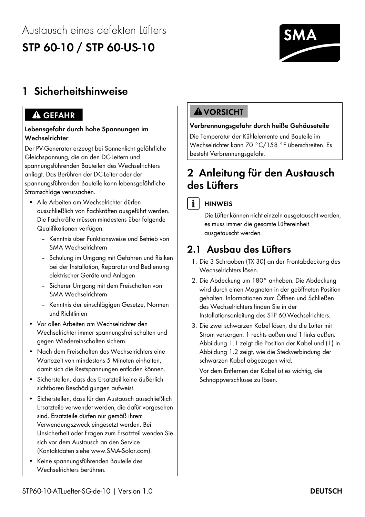# Austausch eines defekten Lüfters **STP 60-10 / STP 60-US-10**



# **1 Sicherheitshinweise**

## **A** GEFAHR

### **Lebensgefahr durch hohe Spannungen im Wechselrichter**

Der PV-Generator erzeugt bei Sonnenlicht gefährliche Gleichspannung, die an den DC-Leitern und spannungsführenden Bauteilen des Wechselrichters anliegt. Das Berühren der DC-Leiter oder der spannungsführenden Bauteile kann lebensgefährliche Stromschläge verursachen.

- Alle Arbeiten am Wechselrichter dürfen ausschließlich von Fachkräften ausgeführt werden. Die Fachkräfte müssen mindestens über folgende Qualifikationen verfügen:
	- Kenntnis über Funktionsweise und Betrieb von SMA Wechselrichtern
	- Schulung im Umgang mit Gefahren und Risiken bei der Installation, Reparatur und Bedienung elektrischer Geräte und Anlagen
	- Sicherer Umgang mit dem Freischalten von SMA Wechselrichtern
	- Kenntnis der einschlägigen Gesetze, Normen und Richtlinien
- Vor allen Arbeiten am Wechselrichter den Wechselrichter immer spannungsfrei schalten und gegen Wiedereinschalten sichern.
- Nach dem Freischalten des Wechselrichters eine Wartezeit von mindestens 5 Minuten einhalten, damit sich die Restspannungen entladen können.
- Sicherstellen, dass das Ersatzteil keine äußerlich sichtbaren Beschädigungen aufweist.
- Sicherstellen, dass für den Austausch ausschließlich Ersatzteile verwendet werden, die dafür vorgesehen sind. Ersatzteile dürfen nur gemäß ihrem Verwendungszweck eingesetzt werden. Bei Unsicherheit oder Fragen zum Ersatzteil wenden Sie sich vor dem Austausch an den Service (Kontaktdaten siehe www.SMA-Solar.com).
- Keine spannungsführenden Bauteile des Wechselrichters berühren.

## **AVORSICHT**

### **Verbrennungsgefahr durch heiße Gehäuseteile**

Die Temperatur der Kühlelemente und Bauteile im Wechselrichter kann 70 °C/158 °F überschreiten. Es besteht Verbrennungsgefahr.

# **2 Anleitung für den Austausch des Lüfters**

### $\mathbf{i}$ **HINWEIS**

Die Lüfter können nicht einzeln ausgetauscht werden, es muss immer die gesamte Lüftereinheit ausgetauscht werden.

## **2.1 Ausbau des Lüfters**

- 1. Die 3 Schrauben (TX 30) an der Frontabdeckung des Wechselrichters lösen.
- 2. Die Abdeckung um 180° anheben. Die Abdeckung wird durch einen Magneten in der geöffneten Position gehalten. Informationen zum Öffnen und Schließen des Wechselrichters finden Sie in der Installationsanleitung des STP 60-Wechselrichters.
- 3. Die zwei schwarzen Kabel lösen, die die Lüfter mit Strom versorgen: 1 rechts außen und 1 links außen. Abbildung 1.1 zeigt die Position der Kabel und (1) in Abbildung 1.2 zeigt, wie die Steckverbindung der schwarzen Kabel abgezogen wird.

Vor dem Entfernen der Kabel ist es wichtig, die Schnappverschlüsse zu lösen.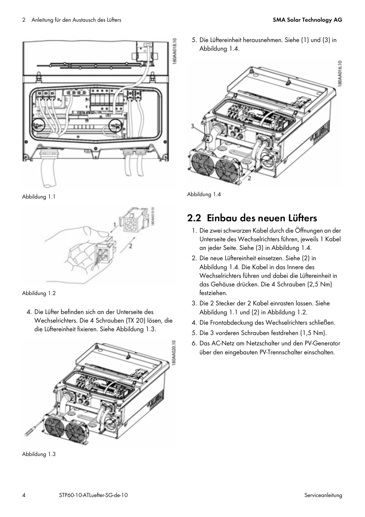

Abbildung 1.1





4. Die Lüfter befinden sich an der Unterseite des Wechselrichters. Die 4 Schrauben (TX 20) lösen, die die Lüftereinheit fixieren. Siehe Abbildung 1.3.



Abbildung 1.3

5. Die Lüftereinheit herausnehmen. Siehe (1) und (3) in Abbildung 1.4.



Abbildung 1.4

## **2.2 Einbau des neuen Lüfters**

- 1. Die zwei schwarzen Kabel durch die Öffnungen an der Unterseite des Wechselrichters führen, jeweils 1 Kabel an jeder Seite. Siehe (3) in Abbildung 1.4.
- 2. Die neue Lüftereinheit einsetzen. Siehe (2) in Abbildung 1.4. Die Kabel in das Innere des Wechselrichters führen und dabei die Lüftereinheit in das Gehäuse drücken. Die 4 Schrauben (2,5 Nm) festziehen.
- 3. Die 2 Stecker der 2 Kabel einrasten lassen. Siehe Abbildung 1.1 und (2) in Abbildung 1.2.
- 4. Die Frontabdeckung des Wechselrichters schließen.
- 5. Die 3 vorderen Schrauben festdrehen (1,5 Nm).
- 6. Das AC-Netz am Netzschalter und den PV-Generator über den eingebauten PV-Trennschalter einschalten.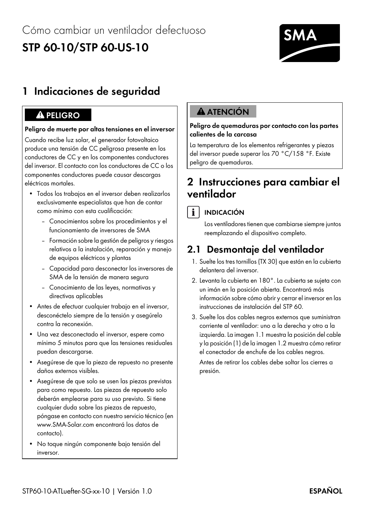# Cómo cambiar un ventilador defectuoso **STP 60-10/STP 60-US-10**



# **1 Indicaciones de seguridad**

## **Peligro de muerte por altas tensiones en el inversor**

Cuando recibe luz solar, el generador fotovoltaico produce una tensión de CC peligrosa presente en los conductores de CC y en los componentes conductores del inversor. El contacto con los conductores de CC o los componentes conductores puede causar descargas eléctricas mortales.

- Todos los trabajos en el inversor deben realizarlos exclusivamente especialistas que han de contar como mínimo con esta cualificación:
	- Conocimientos sobre los procedimientos y el funcionamiento de inversores de SMA
	- Formación sobre la gestión de peligros y riesgos relativos a la instalación, reparación y manejo de equipos eléctricos y plantas
	- Capacidad para desconectar los inversores de SMA de la tensión de manera segura
	- Conocimiento de las leyes, normativas y directivas aplicables
- Antes de efectuar cualquier trabajo en el inversor, desconéctelo siempre de la tensión y asegúrelo contra la reconexión.
- Una vez desconectado el inversor, espere como mínimo 5 minutos para que las tensiones residuales puedan descargarse.
- Asegúrese de que la pieza de repuesto no presente daños externos visibles.
- Asegúrese de que solo se usen las piezas previstas para como repuesto. Las piezas de repuesto solo deberán emplearse para su uso previsto. Si tiene cualquier duda sobre las piezas de repuesto, póngase en contacto con nuestro servicio técnico (en www.SMA-Solar.com encontrará los datos de contacto).
- No toque ningún componente bajo tensión del inversor.

# **1 A** ATENCIÓN

### **Peligro de quemaduras por contacto con las partes calientes de la carcasa**

La temperatura de los elementos refrigerantes y piezas del inversor puede superar los 70 °C/158 °F. Existe peligro de quemaduras.

## **2 Instrucciones para cambiar el ventilador**

## $\mathbf{i}$

## **INDICACIÓN**

Los ventiladores tienen que cambiarse siempre juntos reemplazando el dispositivo completo.

## **2.1 Desmontaje del ventilador**

- 1. Suelte los tres tornillos (TX 30) que están en la cubierta delantera del inversor.
- 2. Levanta la cubierta en 180°. La cubierta se sujeta con un imán en la posición abierta. Encontrará más información sobre cómo abrir y cerrar el inversor en las instrucciones de instalación del STP 60.
- 3. Suelte los dos cables negros externos que suministran corriente al ventilador: uno a la derecha y otro a la izquierda. La imagen 1.1 muestra la posición del cable y la posición (1) de la imagen 1.2 muestra cómo retirar el conectador de enchufe de los cables negros.

Antes de retirar los cables debe soltar los cierres a presión.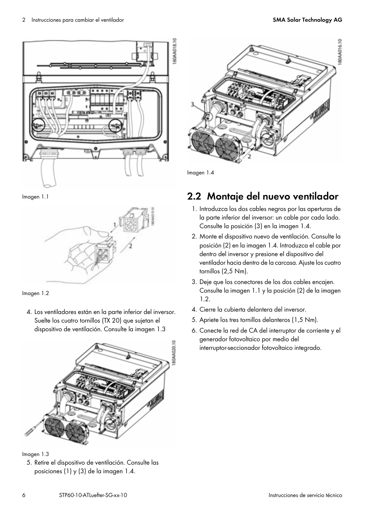

Imagen 1.1





4. Los ventiladores están en la parte inferior del inversor. Suelte los cuatro tornillos (TX 20) que sujetan el dispositivo de ventilación. Consulte la imagen 1.3



Imagen 1.3

5. Retire el dispositivo de ventilación. Consulte las posiciones (1) y (3) de la imagen 1.4.

80AA016.10

Imagen 1.4

# **2.2 Montaje del nuevo ventilador**

- 1. Introduzca los dos cables negros por las aperturas de la parte inferior del inversor: un cable por cada lado. Consulte la posición (3) en la imagen 1.4.
- 2. Monte el dispositivo nuevo de ventilación. Consulte la posición (2) en la imagen 1.4. Introduzca el cable por dentro del inversor y presione el dispositivo del ventilador hacia dentro de la carcasa. Ajuste los cuatro tornillos (2,5 Nm).
- 3. Deje que los conectores de los dos cables encajen. Consulte la imagen 1.1 y la posición (2) de la imagen 1.2.
- 4. Cierre la cubierta delantera del inversor.
- 5. Apriete los tres tornillos delanteros (1,5 Nm).
- 6. Conecte la red de CA del interruptor de corriente y el generador fotovoltaico por medio del interruptor-seccionador fotovoltaico integrado.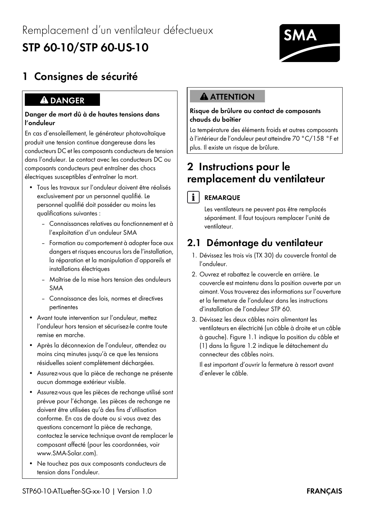# **STP 60-10/STP 60-US-10**



# **1 Consignes de sécurité**

### **Danger de mort dû à de hautes tensions dans l'onduleur**

En cas d'ensoleillement, le générateur photovoltaïque produit une tension continue dangereuse dans les conducteurs DC et les composants conducteurs de tension dans l'onduleur. Le contact avec les conducteurs DC ou composants conducteurs peut entraîner des chocs électriques susceptibles d'entraîner la mort.

- Tous les travaux sur l'onduleur doivent être réalisés exclusivement par un personnel qualifié. Le personnel qualifié doit posséder au moins les qualifications suivantes :
	- Connaissances relatives au fonctionnement et à l'exploitation d'un onduleur SMA
	- Formation au comportement à adopter face aux dangers et risques encourus lors de l'installation, la réparation et la manipulation d'appareils et installations électriques
	- Maîtrise de la mise hors tension des onduleurs SMA
	- Connaissance des lois, normes et directives pertinentes
- Avant toute intervention sur l'onduleur, mettez l'onduleur hors tension et sécurisez-le contre toute remise en marche.
- Après la déconnexion de l'onduleur, attendez au moins cinq minutes jusqu'à ce que les tensions résiduelles soient complètement déchargées.
- Assurez-vous que la pièce de rechange ne présente aucun dommage extérieur visible.
- Assurez-vous que les pièces de rechange utilisé sont prévue pour l'échange. Les pièces de rechange ne doivent être utilisées qu'à des fins d'utilisation conforme. En cas de doute ou si vous avez des questions concernant la pièce de rechange, contactez le service technique avant de remplacer le composant affecté (pour les coordonnées, voir www.SMA-Solar.com).
- Ne touchez pas aux composants conducteurs de tension dans l'onduleur.

# **A DANGER THE SERVE A ATTENTION**

### **Risque de brûlure au contact de composants chauds du boîtier**

La température des éléments froids et autres composants à l'intérieur de l'onduleur peut atteindre 70 °C/158 °F et plus. Il existe un risque de brûlure.

# **2 Instructions pour le remplacement du ventilateur**

### $\mathbf{i}$ **REMARQUE**

Les ventilateurs ne peuvent pas être remplacés séparément. Il faut toujours remplacer l'unité de ventilateur.

# **2.1 Démontage du ventilateur**

- 1. Dévissez les trois vis (TX 30) du couvercle frontal de l'onduleur.
- 2. Ouvrez et rabattez le couvercle en arrière. Le couvercle est maintenu dans la position ouverte par un aimant. Vous trouverez des informations sur l'ouverture et la fermeture de l'onduleur dans les instructions d'installation de l'onduleur STP 60.
- 3. Dévissez les deux câbles noirs alimentant les ventilateurs en électricité (un câble à droite et un câble à gauche). Figure 1.1 indique la position du câble et (1) dans la figure 1.2 indique le détachement du connecteur des câbles noirs.

Il est important d'ouvrir la fermeture à ressort avant d'enlever le câble.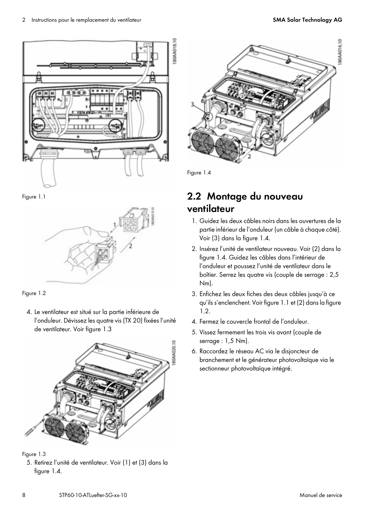

Figure 1.1





4. Le ventilateur est situé sur la partie inférieure de l'onduleur. Dévissez les quatre vis (TX 20) fixées l'unité de ventilateur. Voir figure 1.3



Figure 1.3

5. Retirez l'unité de ventilateur. Voir (1) et (3) dans la figure 1.4.

80AA016.10

Figure 1.4

## **2.2 Montage du nouveau ventilateur**

- 1. Guidez les deux câbles noirs dans les ouvertures de la partie inférieur de l'onduleur (un câble à chaque côté). Voir (3) dans la figure 1.4.
- 2. Insérez l'unité de ventilateur nouveau. Voir (2) dans la figure 1.4. Guidez les câbles dans l'intérieur de l'onduleur et poussez l'unité de ventilateur dans le boîtier. Serrez les quatre vis (couple de serrage : 2,5 Nm).
- 3. Enfichez les deux fiches des deux câbles jusqu'à ce qu'ils s'enclenchent. Voir figure 1.1 et (2) dans la figure 1.2.
- 4. Fermez le couvercle frontal de l'onduleur.
- 5. Vissez fermement les trois vis avant (couple de serrage : 1,5 Nm).
- 6. Raccordez le réseau AC via le disjoncteur de branchement et le générateur photovoltaïque via le sectionneur photovoltaïque intégré.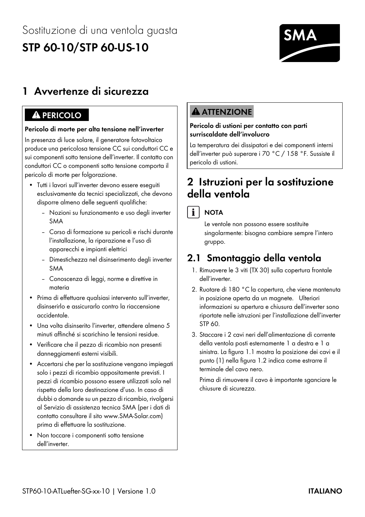# Sostituzione di una ventola guasta **STP 60-10/STP 60-US-10**



# **1 Avvertenze di sicurezza**

### **Pericolo di morte per alta tensione nell'inverter**

In presenza di luce solare, il generatore fotovoltaico produce una pericolosa tensione CC sui conduttori CC e sui componenti sotto tensione dell'inverter. Il contatto con conduttori CC o componenti sotto tensione comporta il pericolo di morte per folgorazione.

- Tutti i lavori sull'inverter devono essere eseguiti esclusivamente da tecnici specializzati, che devono disporre almeno delle seguenti qualifiche:
	- Nozioni su funzionamento e uso degli inverter SMA
	- Corso di formazione su pericoli e rischi durante l'installazione, la riparazione e l'uso di apparecchi e impianti elettrici
	- Dimestichezza nel disinserimento degli inverter SMA
	- Conoscenza di leggi, norme e direttive in materia
- Prima di effettuare qualsiasi intervento sull'inverter, disinserirlo e assicurarlo contro la riaccensione accidentale.
- Una volta disinserito l'inverter, attendere almeno 5 minuti affinché si scarichino le tensioni residue.
- Verificare che il pezzo di ricambio non presenti danneggiamenti esterni visibili.
- Accertarsi che per la sostituzione vengano impiegati solo i pezzi di ricambio appositamente previsti. I pezzi di ricambio possono essere utilizzati solo nel rispetto della loro destinazione d'uso. In caso di dubbi o domande su un pezzo di ricambio, rivolgersi al Servizio di assistenza tecnica SMA (per i dati di contatto consultare il sito www.SMA-Solar.com) prima di effettuare la sostituzione.
- Non toccare i componenti sotto tensione dell'inverter.

# **1 A** PERICOLO **1999**

### **Pericolo di ustioni per contatto con parti surriscaldate dell'involucro**

La temperatura dei dissipatori e dei componenti interni dell'inverter può superare i 70 °C / 158 °F. Sussiste il pericolo di ustioni.

## **2 Istruzioni per la sostituzione della ventola**



Le ventole non possono essere sostituite singolarmente: bisogna cambiare sempre l'intero gruppo.

# **2.1 Smontaggio della ventola**

- 1. Rimuovere le 3 viti (TX 30) sulla copertura frontale dell'inverter.
- 2. Ruotare di 180 °C la copertura, che viene mantenuta in posizione aperta da un magnete. Ulteriori informazioni su apertura e chiusura dell'inverter sono riportate nelle istruzioni per l'installazione dell'inverter STP 60.
- 3. Staccare i 2 cavi neri dell'alimentazione di corrente della ventola posti esternamente 1 a destra e 1 a sinistra. La figura 1.1 mostra la posizione dei cavi e il punto (1) nella figura 1.2 indica come estrarre il terminale del cavo nero.

Prima di rimuovere il cavo è importante sganciare le chiusure di sicurezza.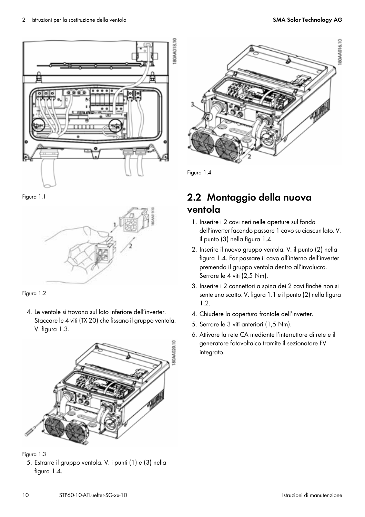

Figura 1.1



Figura 1.2

4. Le ventole si trovano sul lato inferiore dell'inverter. Staccare le 4 viti (TX 20) che fissano il gruppo ventola. V. figura 1.3.



Figura 1.3

5. Estrarre il gruppo ventola. V. i punti (1) e (3) nella figura 1.4.

80AA016.10

Figura 1.4

# **2.2 Montaggio della nuova ventola**

- 1. Inserire i 2 cavi neri nelle aperture sul fondo dell'inverter facendo passare 1 cavo su ciascun lato. V. il punto (3) nella figura 1.4.
- 2. Inserire il nuovo gruppo ventola. V. il punto (2) nella figura 1.4. Far passare il cavo all'interno dell'inverter premendo il gruppo ventola dentro all'involucro. Serrare le 4 viti (2,5 Nm).
- 3. Inserire i 2 connettori a spina dei 2 cavi finché non si sente uno scatto. V. figura 1.1 e il punto (2) nella figura 1.2.
- 4. Chiudere la copertura frontale dell'inverter.
- 5. Serrare le 3 viti anteriori (1,5 Nm).
- 6. Attivare la rete CA mediante l'interruttore di rete e il generatore fotovoltaico tramite il sezionatore FV integrato.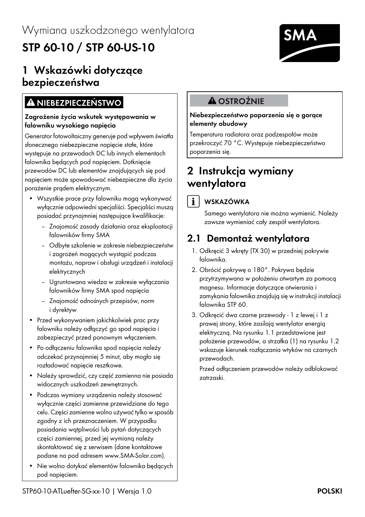# **1 Wskazówki dotyczące bezpieczeństwa**

# **A** NIEBEZPIECZEŃSTWO **12580 A** OSTROŻNIE

### **Zagrożenie życia wskutek występowania w falowniku wysokiego napięcia**

Generator fotowoltaiczny generuje pod wpływem światła słonecznego niebezpieczne napięcie stałe, które występuje na przewodach DC lub innych elementach falownika będących pod napięciem. Dotknięcie przewodów DC lub elementów znajdujących się pod napięciem może spowodować niebezpieczne dla życia porażenie prądem elektrycznym.

- Wszystkie prace przy falowniku mogą wykonywać wyłącznie odpowiedni specjaliści. Specjaliści muszą posiadać przynajmniej następujące kwalifikacje:
	- Znajomość zasady działania oraz eksploatacji falowników firmy SMA
	- Odbyte szkolenie w zakresie niebezpieczeństw i zagrożeń mogących wystąpić podczas montażu, napraw i obsługi urządzeń i instalacji elektrycznych
	- Ugruntowana wiedza w zakresie wyłączania falowników firmy SMA spod napięcia
	- Znajomość odnośnych przepisów, norm i dyrektyw
- Przed wykonywaniem jakichkolwiek prac przy falowniku należy odłączyć go spod napięcia i zabezpieczyć przed ponownym włączeniem.
- Po odłączeniu falownika spod napięcia należy odczekać przynajmniej 5 minut, aby mogło się rozładować napięcie resztkowe.
- Należy sprawdzić, czy część zamienna nie posiada widocznych uszkodzeń zewnętrznych.
- Podczas wymiany urządzenia należy stosować wyłącznie części zamienne przewidziane do tego celu. Części zamienne wolno używać tylko w sposób zgodny z ich przeznaczeniem. W przypadku posiadania wątpliwości lub pytań dotyczących części zamiennej, przed jej wymianą należy skontaktować się z serwisem (dane kontaktowe podane na pod adresem www.SMA-Solar.com).
- Nie wolno dotykać elementów falownika będących pod napięciem.



### **Niebezpieczeństwo poparzenia się o gorące elementy obudowy**

Temperatura radiatora oraz podzespołów może przekroczyć 70 °C. Występuje niebezpieczeństwo poparzenia się.

# **2 Instrukcja wymiany wentylatora**

## $\mathbf{i}$

## **WSKAZÓWKA**

Samego wentylatora nie można wymienić. Należy zawsze wymieniać cały zespół wentylatora.

# **2.1 Demontaż wentylatora**

- 1. Odkręcić 3 wkręty (TX 30) w przedniej pokrywie falownika.
- 2. Obrócić pokrywę o 180°. Pokrywa będzie przytrzymywana w położeniu otwartym za pomocą magnesu. Informacje dotyczące otwierania i zamykania falownika znajdują się w instrukcji instalacji falownika STP 60.
- 3. Odkręcić dwa czarne przewody 1 z lewej i 1 z prawej strony, które zasilają wentylator energią elektryczną. Na rysunku 1.1 przedstawione jest położenie przewodów, a strzałka (1) na rysunku 1.2 wskazuje kierunek rozłączania wtyków na czarnych przewodach.

Przed odłączeniem przewodów należy odblokować zatrzaski.